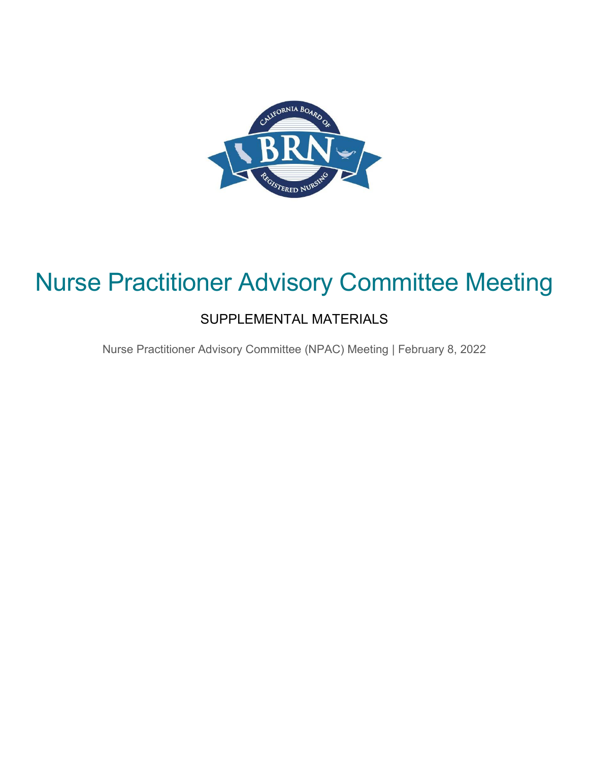

### Nurse Practitioner Advisory Committee Meeting

### SUPPLEMENTAL MATERIALS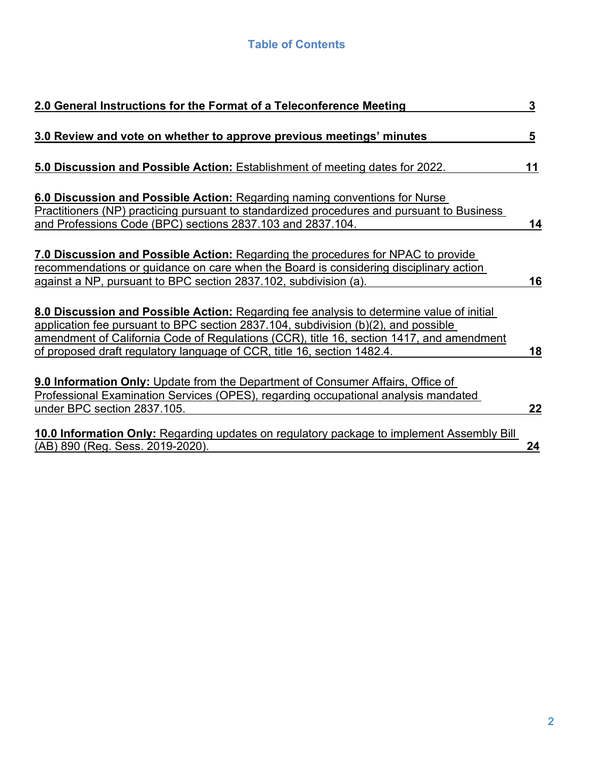### **Table of Contents**

| 2.0 General Instructions for the Format of a Teleconference Meeting                                                                                                                                                                                       | 3  |
|-----------------------------------------------------------------------------------------------------------------------------------------------------------------------------------------------------------------------------------------------------------|----|
| 3.0 Review and vote on whether to approve previous meetings' minutes                                                                                                                                                                                      | 5  |
| 5.0 Discussion and Possible Action: Establishment of meeting dates for 2022.                                                                                                                                                                              | 11 |
| 6.0 Discussion and Possible Action: Regarding naming conventions for Nurse<br>Practitioners (NP) practicing pursuant to standardized procedures and pursuant to Business                                                                                  |    |
| and Professions Code (BPC) sections 2837.103 and 2837.104.                                                                                                                                                                                                | 14 |
| 7.0 Discussion and Possible Action: Regarding the procedures for NPAC to provide<br>recommendations or guidance on care when the Board is considering disciplinary action<br>against a NP, pursuant to BPC section 2837.102, subdivision (a).             | 16 |
| 8.0 Discussion and Possible Action: Regarding fee analysis to determine value of initial                                                                                                                                                                  |    |
| application fee pursuant to BPC section 2837.104, subdivision (b)(2), and possible<br>amendment of California Code of Regulations (CCR), title 16, section 1417, and amendment<br>of proposed draft regulatory language of CCR, title 16, section 1482.4. | 18 |
| 9.0 Information Only: Update from the Department of Consumer Affairs, Office of                                                                                                                                                                           |    |
| Professional Examination Services (OPES), regarding occupational analysis mandated<br>under BPC section 2837.105.                                                                                                                                         | 22 |
| 10.0 Information Only: Regarding updates on regulatory package to implement Assembly Bill<br><u>(AB) 890 (Reg. Sess. 2019-2020).</u>                                                                                                                      | 24 |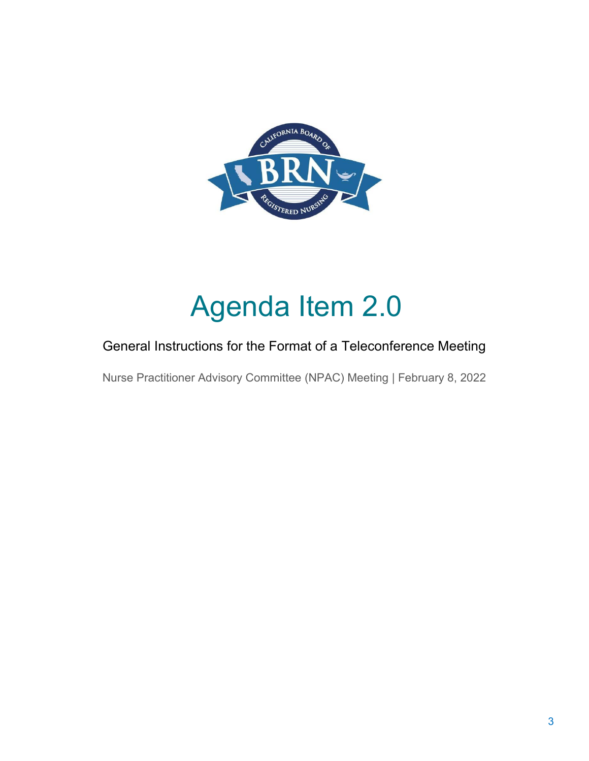

# Agenda Item 2.0

### General Instructions for the Format of a Teleconference Meeting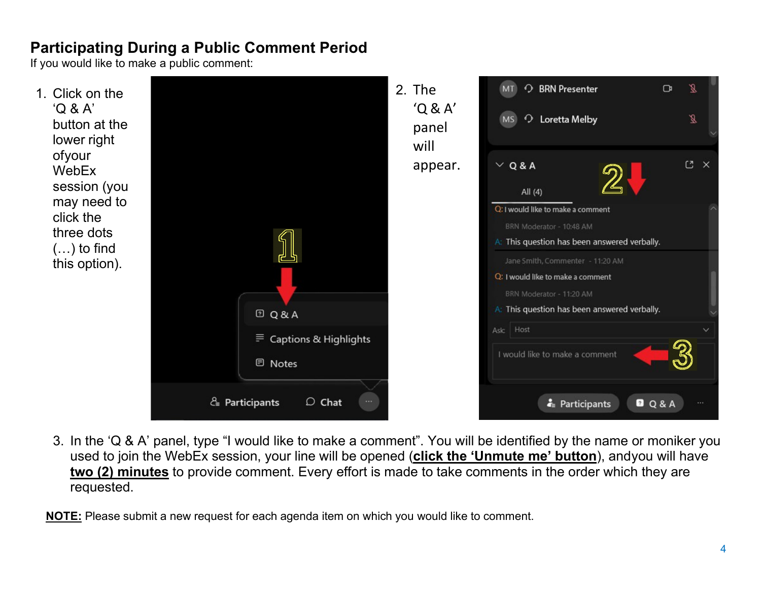### **Participating During a Public Comment Period**

If you would like to make a public comment:



3. In the 'Q & A' panel, type "I would like to make a comment". You will be identified by the name or moniker you used to join the WebEx session, your line will be opened (**click the 'Unmute me' button**), andyou will have **two (2) minutes** to provide comment. Every effort is made to take comments in the order which they are requested.

**NOTE:** Please submit a new request for each agenda item on which you would like to comment.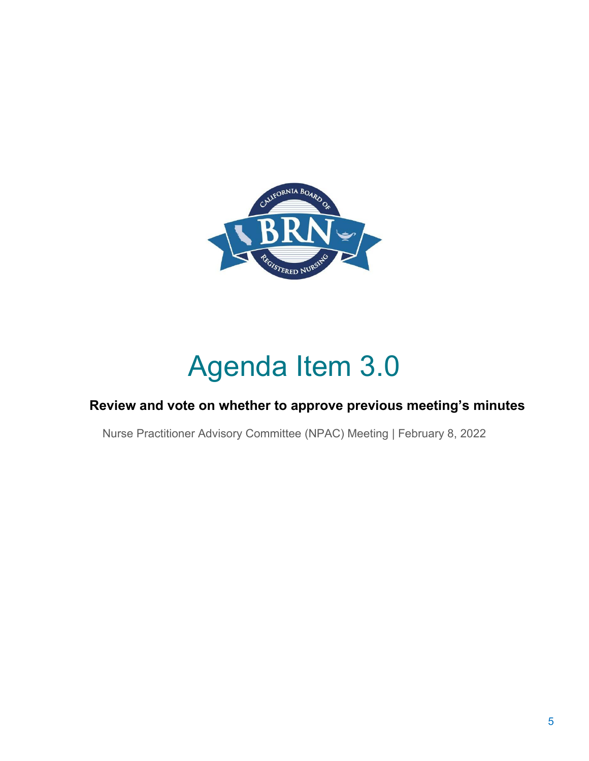

# Agenda Item 3.0

### **Review and vote on whether to approve previous meeting's minutes**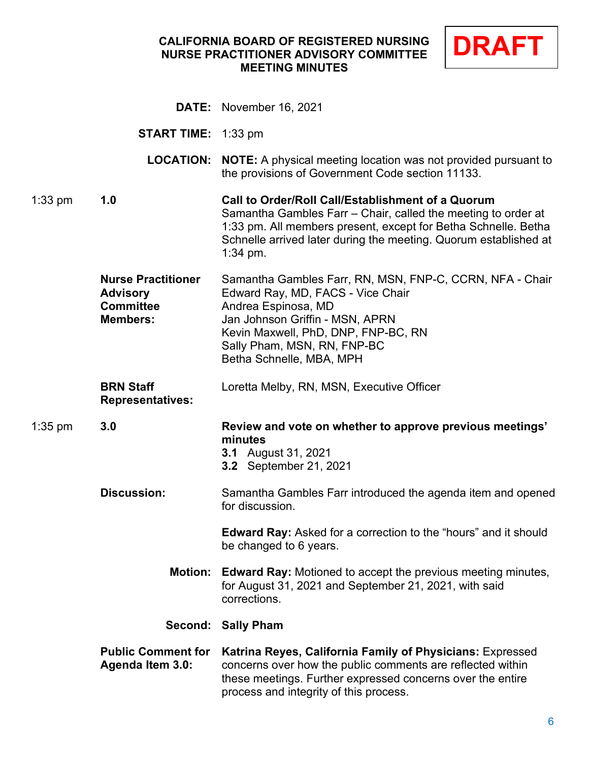### **CALIFORNIA BOARD OF REGISTERED NURSING NURSE PRACTITIONER ADVISORY COMMITTEE MEETING MINUTES**



|           |                                                                                     | <b>DATE:</b> November 16, 2021                                                                                                                                                                                                                                         |
|-----------|-------------------------------------------------------------------------------------|------------------------------------------------------------------------------------------------------------------------------------------------------------------------------------------------------------------------------------------------------------------------|
|           | <b>START TIME:</b> 1:33 pm                                                          |                                                                                                                                                                                                                                                                        |
|           | <b>LOCATION:</b>                                                                    | <b>NOTE:</b> A physical meeting location was not provided pursuant to<br>the provisions of Government Code section 11133.                                                                                                                                              |
| $1:33$ pm | 1.0                                                                                 | Call to Order/Roll Call/Establishment of a Quorum<br>Samantha Gambles Farr - Chair, called the meeting to order at<br>1:33 pm. All members present, except for Betha Schnelle. Betha<br>Schnelle arrived later during the meeting. Quorum established at<br>$1:34$ pm. |
|           | <b>Nurse Practitioner</b><br><b>Advisory</b><br><b>Committee</b><br><b>Members:</b> | Samantha Gambles Farr, RN, MSN, FNP-C, CCRN, NFA - Chair<br>Edward Ray, MD, FACS - Vice Chair<br>Andrea Espinosa, MD<br>Jan Johnson Griffin - MSN, APRN<br>Kevin Maxwell, PhD, DNP, FNP-BC, RN<br>Sally Pham, MSN, RN, FNP-BC<br>Betha Schnelle, MBA, MPH              |
|           | <b>BRN Staff</b><br><b>Representatives:</b>                                         | Loretta Melby, RN, MSN, Executive Officer                                                                                                                                                                                                                              |
| $1:35$ pm | 3.0                                                                                 | Review and vote on whether to approve previous meetings'<br>minutes<br><b>3.1</b> August 31, 2021<br><b>3.2</b> September 21, 2021                                                                                                                                     |
|           | <b>Discussion:</b>                                                                  | Samantha Gambles Farr introduced the agenda item and opened<br>for discussion.                                                                                                                                                                                         |
|           |                                                                                     | Edward Ray: Asked for a correction to the "hours" and it should<br>be changed to 6 years.                                                                                                                                                                              |
|           | <b>Motion:</b>                                                                      | <b>Edward Ray:</b> Motioned to accept the previous meeting minutes,<br>for August 31, 2021 and September 21, 2021, with said<br>corrections.                                                                                                                           |
|           |                                                                                     | Second: Sally Pham                                                                                                                                                                                                                                                     |
|           | <b>Public Comment for</b><br><b>Agenda Item 3.0:</b>                                | Katrina Reyes, California Family of Physicians: Expressed<br>concerns over how the public comments are reflected within<br>these meetings. Further expressed concerns over the entire<br>process and integrity of this process.                                        |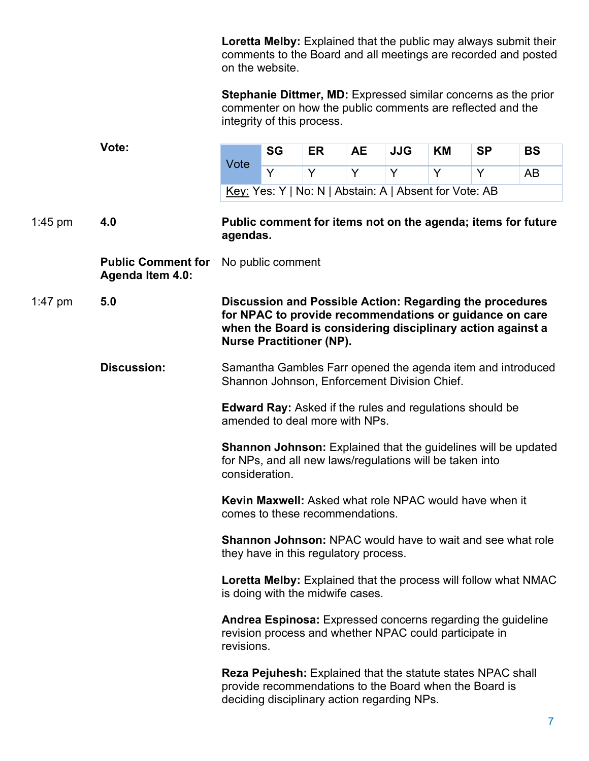**Loretta Melby:** Explained that the public may always submit their comments to the Board and all meetings are recorded and posted on the website.

**Stephanie Dittmer, MD:** Expressed similar concerns as the prior commenter on how the public comments are reflected and the integrity of this process.

|                    | Vote:                                                                                                                                               | Vote                                                                                                        | <b>SG</b>         | <b>ER</b>                                   | <b>AE</b> | <b>JJG</b> | ΚM                                                     | <b>SP</b>                                                                                                                                                                          | <b>BS</b> |
|--------------------|-----------------------------------------------------------------------------------------------------------------------------------------------------|-------------------------------------------------------------------------------------------------------------|-------------------|---------------------------------------------|-----------|------------|--------------------------------------------------------|------------------------------------------------------------------------------------------------------------------------------------------------------------------------------------|-----------|
|                    |                                                                                                                                                     |                                                                                                             | Y                 | Y                                           | Y         | Y          | Y                                                      | Y                                                                                                                                                                                  | AB        |
|                    |                                                                                                                                                     |                                                                                                             |                   |                                             |           |            | Key: Yes: Y   No: N   Abstain: A   Absent for Vote: AB |                                                                                                                                                                                    |           |
| 1:45 pm            | 4.0                                                                                                                                                 | agendas.                                                                                                    |                   |                                             |           |            |                                                        | Public comment for items not on the agenda; items for future                                                                                                                       |           |
|                    | <b>Public Comment for</b><br><b>Agenda Item 4.0:</b>                                                                                                |                                                                                                             | No public comment |                                             |           |            |                                                        |                                                                                                                                                                                    |           |
| 1:47 pm            | 5.0                                                                                                                                                 |                                                                                                             |                   | <b>Nurse Practitioner (NP).</b>             |           |            |                                                        | Discussion and Possible Action: Regarding the procedures<br>for NPAC to provide recommendations or guidance on care<br>when the Board is considering disciplinary action against a |           |
| <b>Discussion:</b> |                                                                                                                                                     | Samantha Gambles Farr opened the agenda item and introduced<br>Shannon Johnson, Enforcement Division Chief. |                   |                                             |           |            |                                                        |                                                                                                                                                                                    |           |
|                    |                                                                                                                                                     | <b>Edward Ray:</b> Asked if the rules and regulations should be<br>amended to deal more with NPs.           |                   |                                             |           |            |                                                        |                                                                                                                                                                                    |           |
|                    | <b>Shannon Johnson:</b> Explained that the guidelines will be updated<br>for NPs, and all new laws/regulations will be taken into<br>consideration. |                                                                                                             |                   |                                             |           |            |                                                        |                                                                                                                                                                                    |           |
|                    |                                                                                                                                                     | Kevin Maxwell: Asked what role NPAC would have when it<br>comes to these recommendations.                   |                   |                                             |           |            |                                                        |                                                                                                                                                                                    |           |
|                    |                                                                                                                                                     |                                                                                                             |                   | they have in this regulatory process.       |           |            |                                                        | <b>Shannon Johnson: NPAC would have to wait and see what role</b>                                                                                                                  |           |
|                    |                                                                                                                                                     | <b>Loretta Melby:</b> Explained that the process will follow what NMAC<br>is doing with the midwife cases.  |                   |                                             |           |            |                                                        |                                                                                                                                                                                    |           |
|                    |                                                                                                                                                     | revisions.                                                                                                  |                   |                                             |           |            | revision process and whether NPAC could participate in | Andrea Espinosa: Expressed concerns regarding the guideline                                                                                                                        |           |
|                    |                                                                                                                                                     |                                                                                                             |                   | deciding disciplinary action regarding NPs. |           |            |                                                        | <b>Reza Pejuhesh:</b> Explained that the statute states NPAC shall<br>provide recommendations to the Board when the Board is                                                       |           |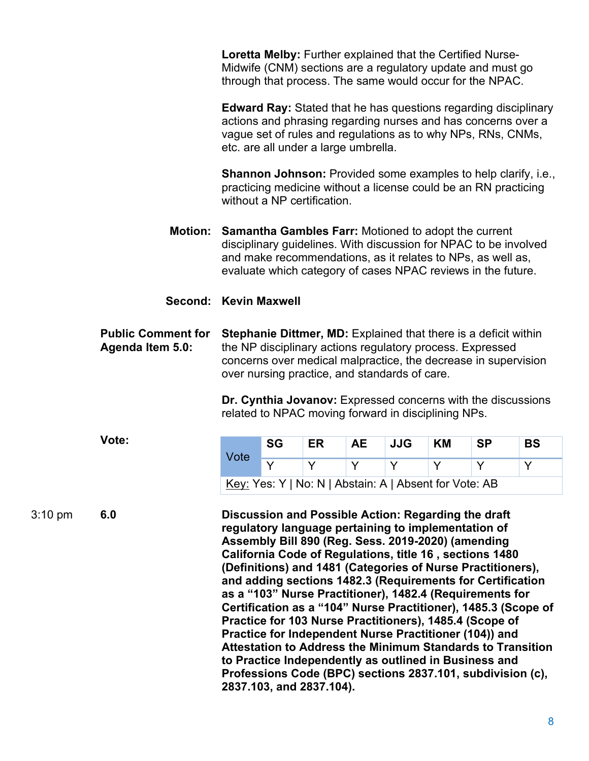**Loretta Melby:** Further explained that the Certified Nurse-Midwife (CNM) sections are a regulatory update and must go through that process. The same would occur for the NPAC.

**Edward Ray:** Stated that he has questions regarding disciplinary actions and phrasing regarding nurses and has concerns over a vague set of rules and regulations as to why NPs, RNs, CNMs, etc. are all under a large umbrella.

**Shannon Johnson:** Provided some examples to help clarify, i.e., practicing medicine without a license could be an RN practicing without a NP certification.

**Motion: Samantha Gambles Farr:** Motioned to adopt the current disciplinary guidelines. With discussion for NPAC to be involved and make recommendations, as it relates to NPs, as well as, evaluate which category of cases NPAC reviews in the future.

#### **Second: Kevin Maxwell**

**Public Comment for Agenda Item 5.0: Stephanie Dittmer, MD:** Explained that there is a deficit within the NP disciplinary actions regulatory process. Expressed concerns over medical malpractice, the decrease in supervision over nursing practice, and standards of care.

> **Dr. Cynthia Jovanov:** Expressed concerns with the discussions related to NPAC moving forward in disciplining NPs.

**Vote:**

| Vote | <b>SG</b> | ER | AE. | JJG | KM                                                     | <b>SP</b> | <b>BS</b> |
|------|-----------|----|-----|-----|--------------------------------------------------------|-----------|-----------|
|      |           |    |     |     |                                                        |           |           |
|      |           |    |     |     | Key: Yes: Y   No: N   Abstain: A   Absent for Vote: AB |           |           |

3:10 pm **6.0 Discussion and Possible Action: Regarding the draft regulatory language pertaining to implementation of Assembly Bill 890 (Reg. Sess. 2019-2020) (amending California Code of Regulations, title 16 , sections 1480 (Definitions) and 1481 (Categories of Nurse Practitioners), and adding sections 1482.3 (Requirements for Certification as a "103" Nurse Practitioner), 1482.4 (Requirements for Certification as a "104" Nurse Practitioner), 1485.3 (Scope of Practice for 103 Nurse Practitioners), 1485.4 (Scope of Practice for Independent Nurse Practitioner (104)) and Attestation to Address the Minimum Standards to Transition to Practice Independently as outlined in Business and Professions Code (BPC) sections 2837.101, subdivision (c), 2837.103, and 2837.104).**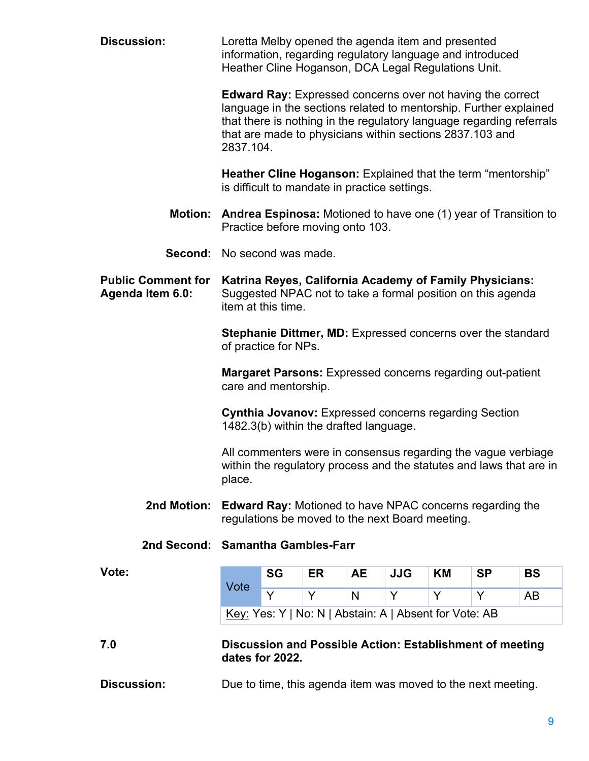| <b>Discussion:</b>                            | Loretta Melby opened the agenda item and presented<br>information, regarding regulatory language and introduced<br>Heather Cline Hoganson, DCA Legal Regulations Unit.                                                                                                                  |                                                                                                                                              |                                        |           |            |                                                        |                                                                 |                                                                                                                                      |
|-----------------------------------------------|-----------------------------------------------------------------------------------------------------------------------------------------------------------------------------------------------------------------------------------------------------------------------------------------|----------------------------------------------------------------------------------------------------------------------------------------------|----------------------------------------|-----------|------------|--------------------------------------------------------|-----------------------------------------------------------------|--------------------------------------------------------------------------------------------------------------------------------------|
|                                               | <b>Edward Ray:</b> Expressed concerns over not having the correct<br>language in the sections related to mentorship. Further explained<br>that there is nothing in the regulatory language regarding referrals<br>that are made to physicians within sections 2837.103 and<br>2837.104. |                                                                                                                                              |                                        |           |            |                                                        |                                                                 |                                                                                                                                      |
|                                               | Heather Cline Hoganson: Explained that the term "mentorship"<br>is difficult to mandate in practice settings.                                                                                                                                                                           |                                                                                                                                              |                                        |           |            |                                                        |                                                                 |                                                                                                                                      |
| <b>Motion:</b>                                |                                                                                                                                                                                                                                                                                         |                                                                                                                                              | Practice before moving onto 103.       |           |            |                                                        |                                                                 | <b>Andrea Espinosa:</b> Motioned to have one (1) year of Transition to                                                               |
| <b>Second:</b> No second was made.            |                                                                                                                                                                                                                                                                                         |                                                                                                                                              |                                        |           |            |                                                        |                                                                 |                                                                                                                                      |
| <b>Public Comment for</b><br>Agenda Item 6.0: |                                                                                                                                                                                                                                                                                         | Katrina Reyes, California Academy of Family Physicians:<br>Suggested NPAC not to take a formal position on this agenda<br>item at this time. |                                        |           |            |                                                        |                                                                 |                                                                                                                                      |
|                                               |                                                                                                                                                                                                                                                                                         | Stephanie Dittmer, MD: Expressed concerns over the standard<br>of practice for NPs.                                                          |                                        |           |            |                                                        |                                                                 |                                                                                                                                      |
|                                               | <b>Margaret Parsons:</b> Expressed concerns regarding out-patient<br>care and mentorship.                                                                                                                                                                                               |                                                                                                                                              |                                        |           |            |                                                        |                                                                 |                                                                                                                                      |
|                                               |                                                                                                                                                                                                                                                                                         |                                                                                                                                              |                                        |           |            |                                                        |                                                                 |                                                                                                                                      |
|                                               |                                                                                                                                                                                                                                                                                         |                                                                                                                                              | 1482.3(b) within the drafted language. |           |            |                                                        | <b>Cynthia Jovanov: Expressed concerns regarding Section</b>    |                                                                                                                                      |
|                                               | place.                                                                                                                                                                                                                                                                                  |                                                                                                                                              |                                        |           |            |                                                        |                                                                 | All commenters were in consensus regarding the vague verbiage<br>within the regulatory process and the statutes and laws that are in |
| 2nd Motion:                                   |                                                                                                                                                                                                                                                                                         |                                                                                                                                              |                                        |           |            | regulations be moved to the next Board meeting.        | <b>Edward Ray:</b> Motioned to have NPAC concerns regarding the |                                                                                                                                      |
| 2nd Second: Samantha Gambles-Farr             |                                                                                                                                                                                                                                                                                         |                                                                                                                                              |                                        |           |            |                                                        |                                                                 |                                                                                                                                      |
| Vote:                                         |                                                                                                                                                                                                                                                                                         | <b>SG</b>                                                                                                                                    | ER                                     | <b>AE</b> | <b>JJG</b> | ΚM                                                     | <b>SP</b>                                                       | <b>BS</b>                                                                                                                            |
|                                               | Vote                                                                                                                                                                                                                                                                                    | Y                                                                                                                                            | Y                                      | N         | Y          | Y                                                      | Y                                                               | AB                                                                                                                                   |
|                                               |                                                                                                                                                                                                                                                                                         |                                                                                                                                              |                                        |           |            | Key: Yes: Y   No: N   Abstain: A   Absent for Vote: AB |                                                                 |                                                                                                                                      |
| 7.0                                           |                                                                                                                                                                                                                                                                                         | dates for 2022.                                                                                                                              |                                        |           |            |                                                        | Discussion and Possible Action: Establishment of meeting        |                                                                                                                                      |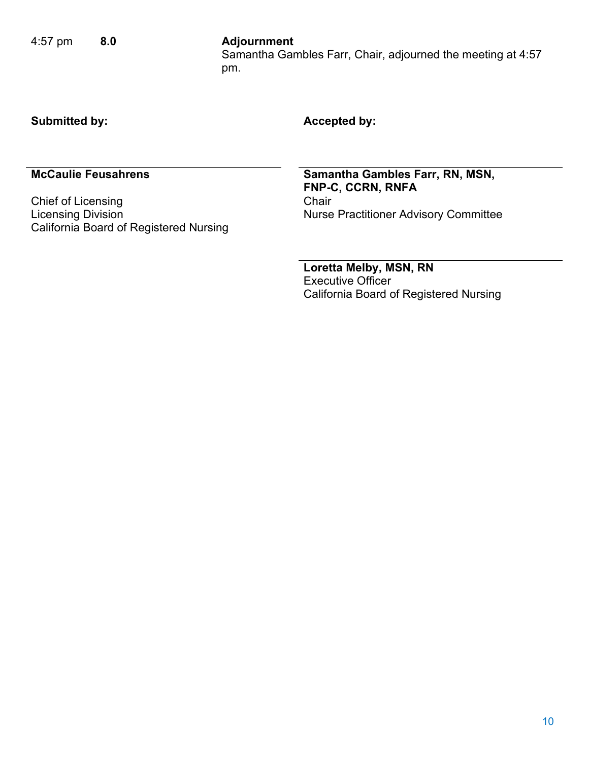### Samantha Gambles Farr, Chair, adjourned the meeting at 4:57 pm.

### **Submitted by: Accepted by:**

Chief of Licensing<br>Licensing Division California Board of Registered Nursing

**McCaulie Feusahrens Samantha Gambles Farr, RN, MSN, FNP-C, CCRN, RNFA** Nurse Practitioner Advisory Committee

> **Loretta Melby, MSN, RN** Executive Officer California Board of Registered Nursing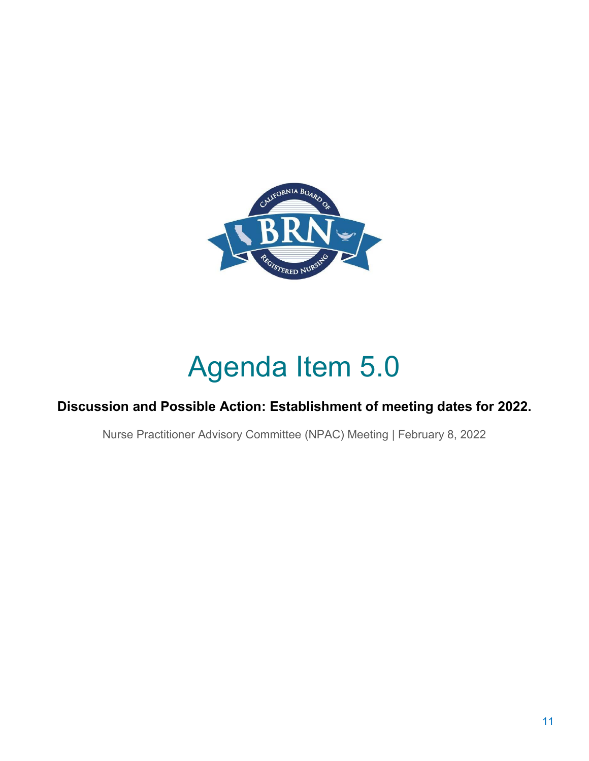

# Agenda Item 5.0

### **Discussion and Possible Action: Establishment of meeting dates for 2022.**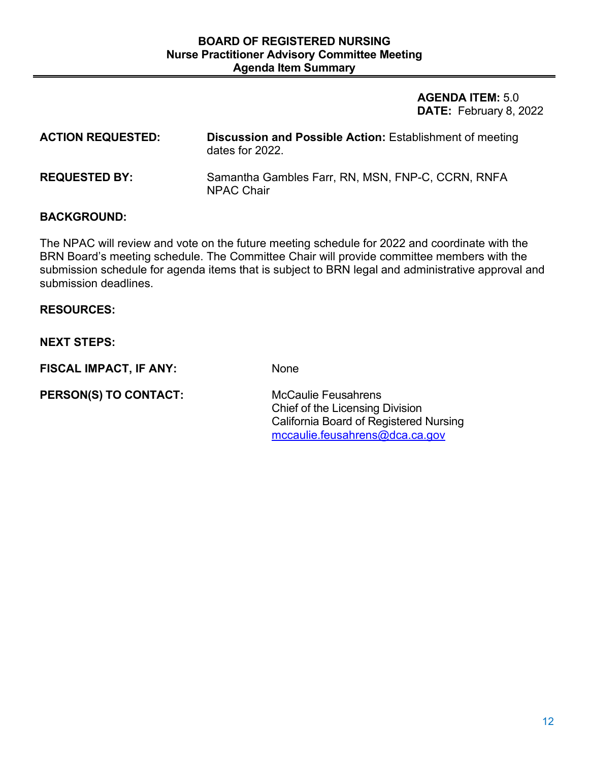**AGENDA ITEM:** 5.0 **DATE:** February 8, 2022

**ACTION REQUESTED: Discussion and Possible Action:** Establishment of meeting dates for 2022. **REQUESTED BY:** Samantha Gambles Farr, RN, MSN, FNP-C, CCRN, RNFA NPAC Chair

### **BACKGROUND:**

The NPAC will review and vote on the future meeting schedule for 2022 and coordinate with the BRN Board's meeting schedule. The Committee Chair will provide committee members with the submission schedule for agenda items that is subject to BRN legal and administrative approval and submission deadlines.

### **RESOURCES:**

### **NEXT STEPS:**

**FISCAL IMPACT, IF ANY:** None

**PERSON(S) TO CONTACT:** McCaulie Feusahrens Chief of the Licensing Division California Board of Registered Nursing [mccaulie.feusahrens@dca.ca.gov](mailto:mccaulie.feusahrens@dca.ca.gov)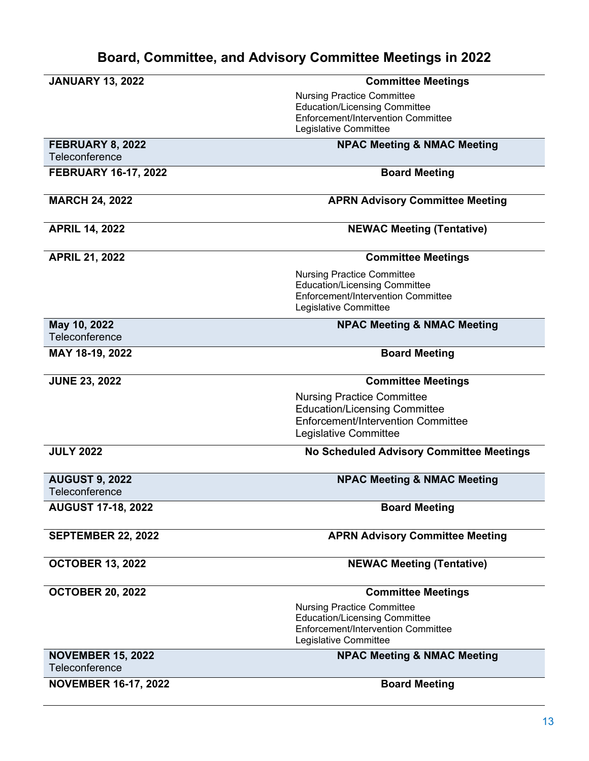### **Board, Committee, and Advisory Committee Meetings in 2022**

| <b>JANUARY 13, 2022</b>     | <b>Committee Meetings</b>                                                  |
|-----------------------------|----------------------------------------------------------------------------|
|                             | <b>Nursing Practice Committee</b>                                          |
|                             | <b>Education/Licensing Committee</b><br>Enforcement/Intervention Committee |
|                             | Legislative Committee                                                      |
| FEBRUARY 8, 2022            | <b>NPAC Meeting &amp; NMAC Meeting</b>                                     |
| Teleconference              |                                                                            |
| <b>FEBRUARY 16-17, 2022</b> | <b>Board Meeting</b>                                                       |
|                             |                                                                            |
| <b>MARCH 24, 2022</b>       | <b>APRN Advisory Committee Meeting</b>                                     |
|                             |                                                                            |
| <b>APRIL 14, 2022</b>       | <b>NEWAC Meeting (Tentative)</b>                                           |
|                             |                                                                            |
| <b>APRIL 21, 2022</b>       | <b>Committee Meetings</b>                                                  |
|                             | <b>Nursing Practice Committee</b>                                          |
|                             | <b>Education/Licensing Committee</b><br>Enforcement/Intervention Committee |
|                             | Legislative Committee                                                      |
| May 10, 2022                | <b>NPAC Meeting &amp; NMAC Meeting</b>                                     |
| Teleconference              |                                                                            |
| MAY 18-19, 2022             | <b>Board Meeting</b>                                                       |
|                             |                                                                            |
| <b>JUNE 23, 2022</b>        | <b>Committee Meetings</b>                                                  |
|                             | <b>Nursing Practice Committee</b>                                          |
|                             | <b>Education/Licensing Committee</b>                                       |
|                             | Enforcement/Intervention Committee<br>Legislative Committee                |
|                             |                                                                            |
| <b>JULY 2022</b>            | No Scheduled Advisory Committee Meetings                                   |
| <b>AUGUST 9, 2022</b>       | <b>NPAC Meeting &amp; NMAC Meeting</b>                                     |
| Teleconference              |                                                                            |
| <b>AUGUST 17-18, 2022</b>   | <b>Board Meeting</b>                                                       |
| <b>SEPTEMBER 22, 2022</b>   | <b>APRN Advisory Committee Meeting</b>                                     |
|                             |                                                                            |
| <b>OCTOBER 13, 2022</b>     | <b>NEWAC Meeting (Tentative)</b>                                           |
|                             |                                                                            |
| <b>OCTOBER 20, 2022</b>     | <b>Committee Meetings</b>                                                  |
|                             | <b>Nursing Practice Committee</b>                                          |
|                             | <b>Education/Licensing Committee</b><br>Enforcement/Intervention Committee |
|                             | Legislative Committee                                                      |
| <b>NOVEMBER 15, 2022</b>    | <b>NPAC Meeting &amp; NMAC Meeting</b>                                     |
| Teleconference              |                                                                            |
| <b>NOVEMBER 16-17, 2022</b> | <b>Board Meeting</b>                                                       |
|                             |                                                                            |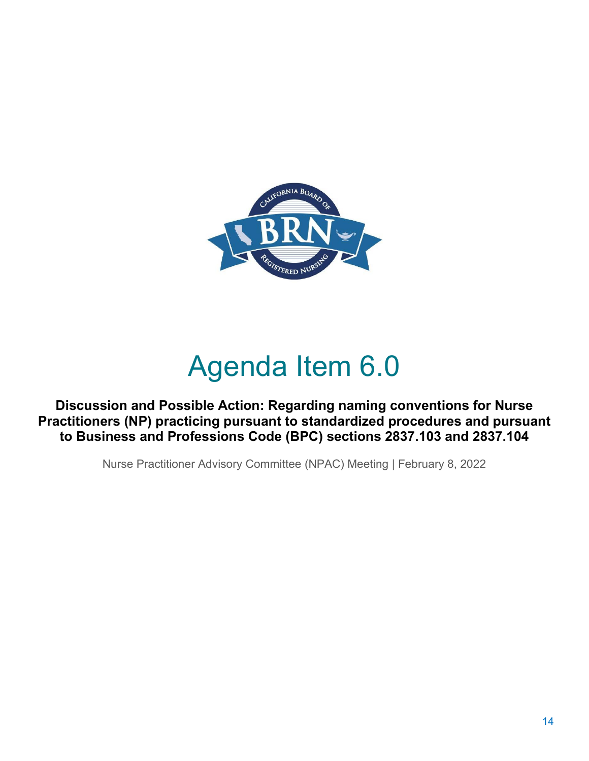

# Agenda Item 6.0

**Discussion and Possible Action: Regarding naming conventions for Nurse Practitioners (NP) practicing pursuant to standardized procedures and pursuant to Business and Professions Code (BPC) sections 2837.103 and 2837.104**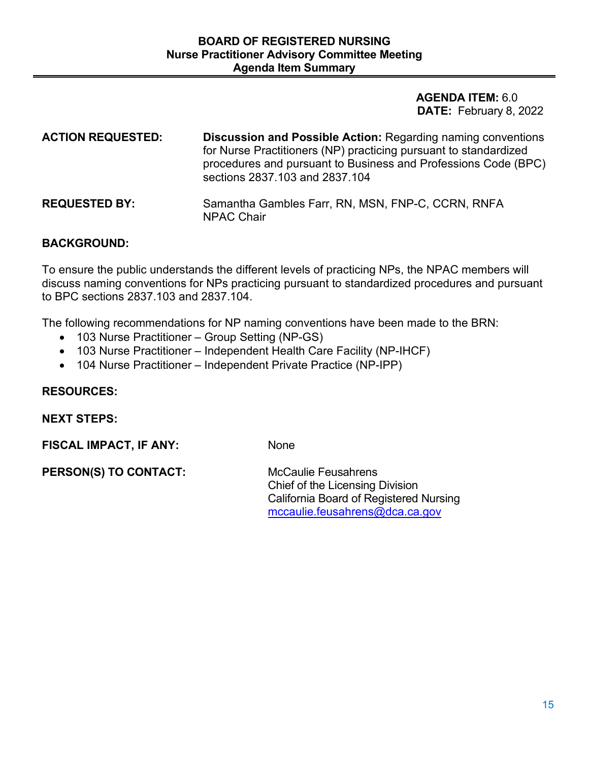**AGENDA ITEM:** 6.0 **DATE:** February 8, 2022

| <b>ACTION REQUESTED:</b> | <b>Discussion and Possible Action: Regarding naming conventions</b><br>for Nurse Practitioners (NP) practicing pursuant to standardized<br>procedures and pursuant to Business and Professions Code (BPC)<br>sections 2837.103 and 2837.104 |
|--------------------------|---------------------------------------------------------------------------------------------------------------------------------------------------------------------------------------------------------------------------------------------|
| <b>REQUESTED BY:</b>     | Samantha Gambles Farr, RN, MSN, FNP-C, CCRN, RNFA<br><b>NPAC Chair</b>                                                                                                                                                                      |

### **BACKGROUND:**

To ensure the public understands the different levels of practicing NPs, the NPAC members will discuss naming conventions for NPs practicing pursuant to standardized procedures and pursuant to BPC sections 2837.103 and 2837.104.

The following recommendations for NP naming conventions have been made to the BRN:

- 103 Nurse Practitioner Group Setting (NP-GS)
- 103 Nurse Practitioner Independent Health Care Facility (NP-IHCF)
- 104 Nurse Practitioner Independent Private Practice (NP-IPP)

#### **RESOURCES:**

**NEXT STEPS:** 

**FISCAL IMPACT, IF ANY:** None

**PERSON(S) TO CONTACT:** McCaulie Feusahrens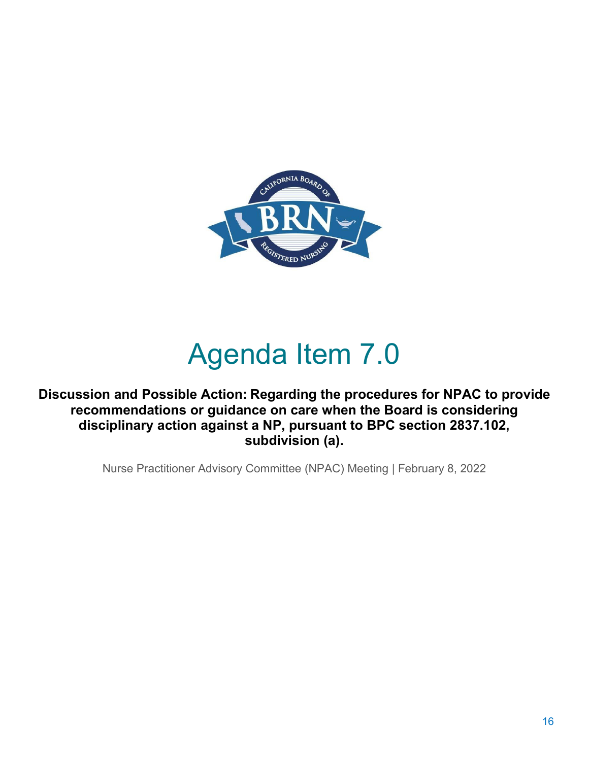

### Agenda Item 7.0

**Discussion and Possible Action: Regarding the procedures for NPAC to provide recommendations or guidance on care when the Board is considering disciplinary action against a NP, pursuant to BPC section 2837.102, subdivision (a).**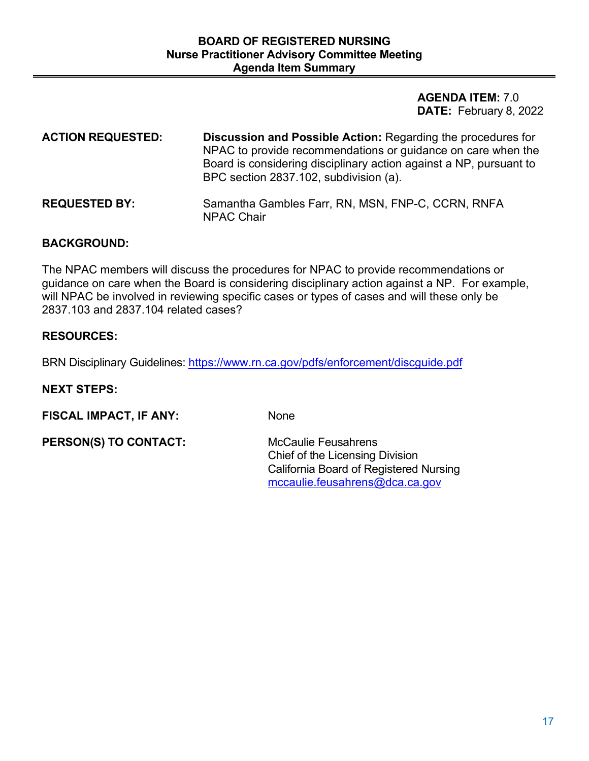**AGENDA ITEM:** 7.0 **DATE:** February 8, 2022

| <b>ACTION REQUESTED:</b> | <b>Discussion and Possible Action: Regarding the procedures for</b><br>NPAC to provide recommendations or guidance on care when the<br>Board is considering disciplinary action against a NP, pursuant to<br>BPC section 2837.102, subdivision (a). |
|--------------------------|-----------------------------------------------------------------------------------------------------------------------------------------------------------------------------------------------------------------------------------------------------|
| <b>REQUESTED BY:</b>     | Samantha Gambles Farr, RN, MSN, FNP-C, CCRN, RNFA<br><b>NPAC Chair</b>                                                                                                                                                                              |

### **BACKGROUND:**

The NPAC members will discuss the procedures for NPAC to provide recommendations or guidance on care when the Board is considering disciplinary action against a NP. For example, will NPAC be involved in reviewing specific cases or types of cases and will these only be 2837.103 and 2837.104 related cases?

### **RESOURCES:**

BRN Disciplinary Guidelines:<https://www.rn.ca.gov/pdfs/enforcement/discguide.pdf>

#### **NEXT STEPS:**

**FISCAL IMPACT, IF ANY:** None

**PERSON(S) TO CONTACT:** McCaulie Feusahrens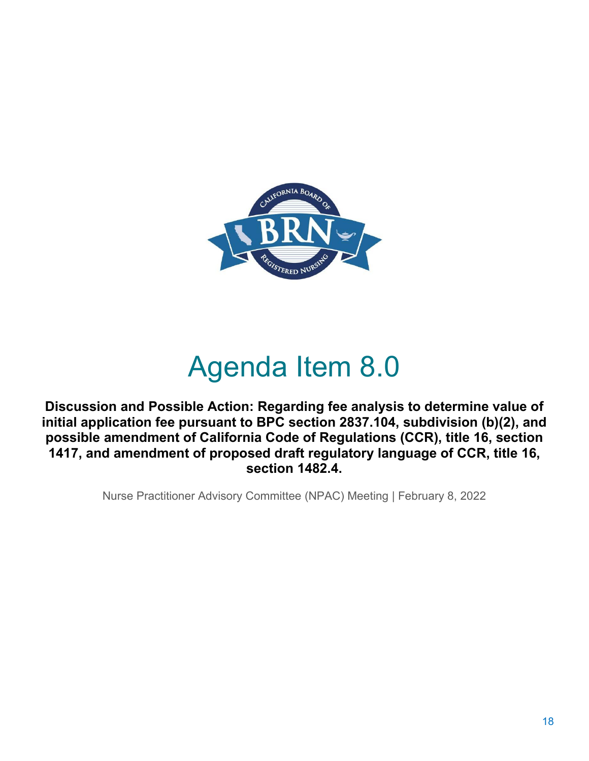

# Agenda Item 8.0

**Discussion and Possible Action: Regarding fee analysis to determine value of initial application fee pursuant to BPC section 2837.104, subdivision (b)(2), and possible amendment of California Code of Regulations (CCR), title 16, section 1417, and amendment of proposed draft regulatory language of CCR, title 16, section 1482.4.**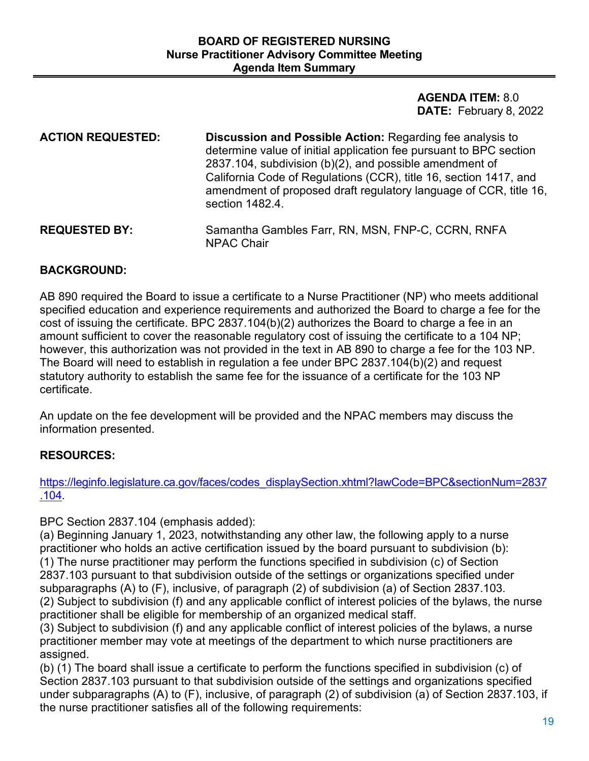**AGENDA ITEM:** 8.0 **DATE:** February 8, 2022

| <b>ACTION REQUESTED:</b> | <b>Discussion and Possible Action: Regarding fee analysis to</b><br>determine value of initial application fee pursuant to BPC section<br>2837.104, subdivision (b)(2), and possible amendment of<br>California Code of Regulations (CCR), title 16, section 1417, and<br>amendment of proposed draft regulatory language of CCR, title 16,<br>section 1482.4. |
|--------------------------|----------------------------------------------------------------------------------------------------------------------------------------------------------------------------------------------------------------------------------------------------------------------------------------------------------------------------------------------------------------|
| <b>REQUESTED BY:</b>     | Samantha Gambles Farr, RN, MSN, FNP-C, CCRN, RNFA<br><b>NPAC Chair</b>                                                                                                                                                                                                                                                                                         |

### **BACKGROUND:**

AB 890 required the Board to issue a certificate to a Nurse Practitioner (NP) who meets additional specified education and experience requirements and authorized the Board to charge a fee for the cost of issuing the certificate. BPC 2837.104(b)(2) authorizes the Board to charge a fee in an amount sufficient to cover the reasonable regulatory cost of issuing the certificate to a 104 NP; however, this authorization was not provided in the text in AB 890 to charge a fee for the 103 NP. The Board will need to establish in regulation a fee under BPC 2837.104(b)(2) and request statutory authority to establish the same fee for the issuance of a certificate for the 103 NP certificate.

An update on the fee development will be provided and the NPAC members may discuss the information presented.

### **RESOURCES:**

[https://leginfo.legislature.ca.gov/faces/codes\\_displaySection.xhtml?lawCode=BPC&sectionNum=2837](https://leginfo.legislature.ca.gov/faces/codes_displaySection.xhtml?lawCode=BPC§ionNum=2837.104) [.104.](https://leginfo.legislature.ca.gov/faces/codes_displaySection.xhtml?lawCode=BPC§ionNum=2837.104)

BPC Section 2837.104 (emphasis added):

(a) Beginning January 1, 2023, notwithstanding any other law, the following apply to a nurse practitioner who holds an active certification issued by the board pursuant to subdivision (b): (1) The nurse practitioner may perform the functions specified in subdivision (c) of Section 2837.103 pursuant to that subdivision outside of the settings or organizations specified under subparagraphs (A) to (F), inclusive, of paragraph (2) of subdivision (a) of Section 2837.103. (2) Subject to subdivision (f) and any applicable conflict of interest policies of the bylaws, the nurse practitioner shall be eligible for membership of an organized medical staff.

(3) Subject to subdivision (f) and any applicable conflict of interest policies of the bylaws, a nurse practitioner member may vote at meetings of the department to which nurse practitioners are assigned.

(b) (1) The board shall issue a certificate to perform the functions specified in subdivision (c) of Section 2837.103 pursuant to that subdivision outside of the settings and organizations specified under subparagraphs (A) to (F), inclusive, of paragraph (2) of subdivision (a) of Section 2837.103, if the nurse practitioner satisfies all of the following requirements: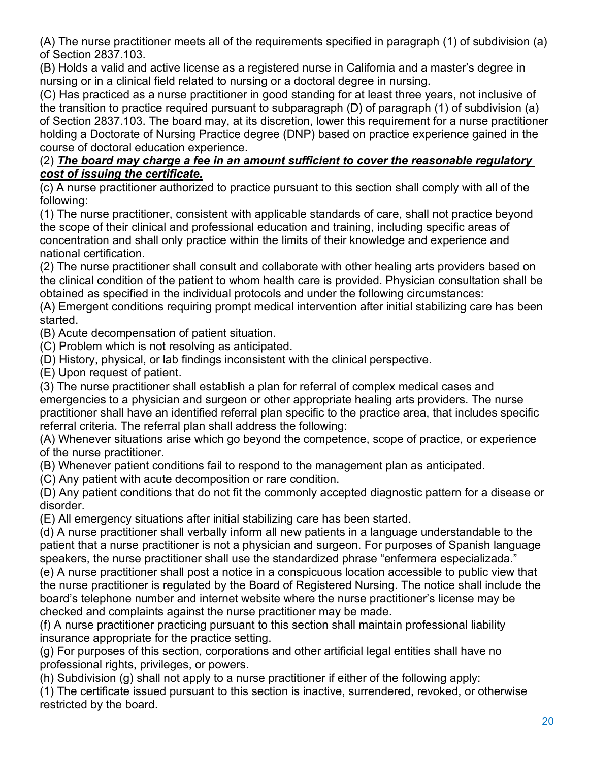(A) The nurse practitioner meets all of the requirements specified in paragraph (1) of subdivision (a) of Section 2837.103.

(B) Holds a valid and active license as a registered nurse in California and a master's degree in nursing or in a clinical field related to nursing or a doctoral degree in nursing.

(C) Has practiced as a nurse practitioner in good standing for at least three years, not inclusive of the transition to practice required pursuant to subparagraph (D) of paragraph (1) of subdivision (a) of Section 2837.103. The board may, at its discretion, lower this requirement for a nurse practitioner holding a Doctorate of Nursing Practice degree (DNP) based on practice experience gained in the course of doctoral education experience.

### (2) *The board may charge a fee in an amount sufficient to cover the reasonable regulatory cost of issuing the certificate.*

(c) A nurse practitioner authorized to practice pursuant to this section shall comply with all of the following:

(1) The nurse practitioner, consistent with applicable standards of care, shall not practice beyond the scope of their clinical and professional education and training, including specific areas of concentration and shall only practice within the limits of their knowledge and experience and national certification.

(2) The nurse practitioner shall consult and collaborate with other healing arts providers based on the clinical condition of the patient to whom health care is provided. Physician consultation shall be obtained as specified in the individual protocols and under the following circumstances:

(A) Emergent conditions requiring prompt medical intervention after initial stabilizing care has been started.

(B) Acute decompensation of patient situation.

(C) Problem which is not resolving as anticipated.

(D) History, physical, or lab findings inconsistent with the clinical perspective.

(E) Upon request of patient.

(3) The nurse practitioner shall establish a plan for referral of complex medical cases and emergencies to a physician and surgeon or other appropriate healing arts providers. The nurse practitioner shall have an identified referral plan specific to the practice area, that includes specific referral criteria. The referral plan shall address the following:

(A) Whenever situations arise which go beyond the competence, scope of practice, or experience of the nurse practitioner.

(B) Whenever patient conditions fail to respond to the management plan as anticipated.

(C) Any patient with acute decomposition or rare condition.

(D) Any patient conditions that do not fit the commonly accepted diagnostic pattern for a disease or disorder.

(E) All emergency situations after initial stabilizing care has been started.

(d) A nurse practitioner shall verbally inform all new patients in a language understandable to the patient that a nurse practitioner is not a physician and surgeon. For purposes of Spanish language speakers, the nurse practitioner shall use the standardized phrase "enfermera especializada."

(e) A nurse practitioner shall post a notice in a conspicuous location accessible to public view that the nurse practitioner is regulated by the Board of Registered Nursing. The notice shall include the board's telephone number and internet website where the nurse practitioner's license may be checked and complaints against the nurse practitioner may be made.

(f) A nurse practitioner practicing pursuant to this section shall maintain professional liability insurance appropriate for the practice setting.

(g) For purposes of this section, corporations and other artificial legal entities shall have no professional rights, privileges, or powers.

(h) Subdivision (g) shall not apply to a nurse practitioner if either of the following apply:

(1) The certificate issued pursuant to this section is inactive, surrendered, revoked, or otherwise restricted by the board.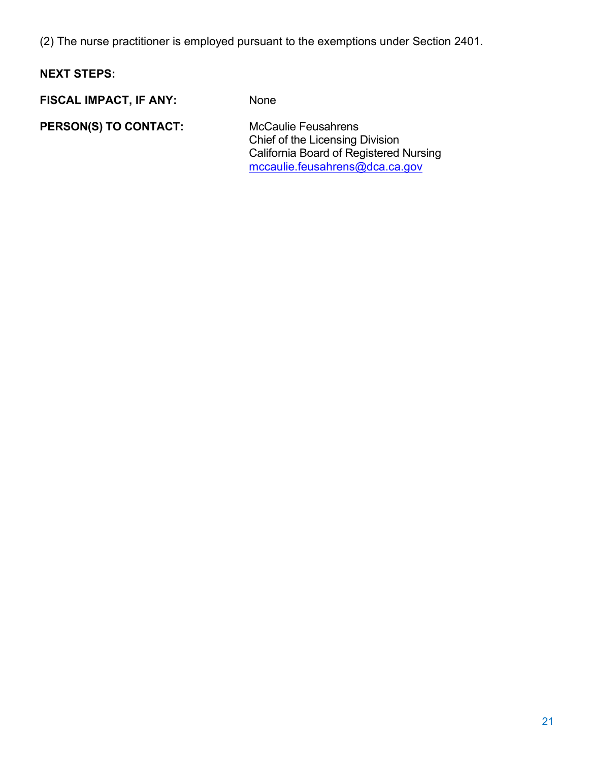(2) The nurse practitioner is employed pursuant to the exemptions under Section 2401.

### **NEXT STEPS:**

**FISCAL IMPACT, IF ANY:** None

**PERSON(S) TO CONTACT:** McCaulie Feusahrens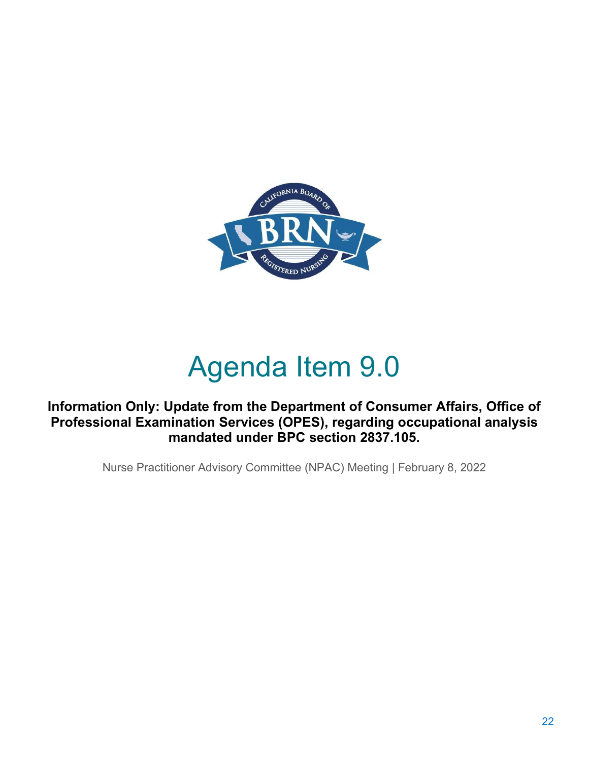

# Agenda Item 9.0

**Information Only: Update from the Department of Consumer Affairs, Office of Professional Examination Services (OPES), regarding occupational analysis mandated under BPC section 2837.105.**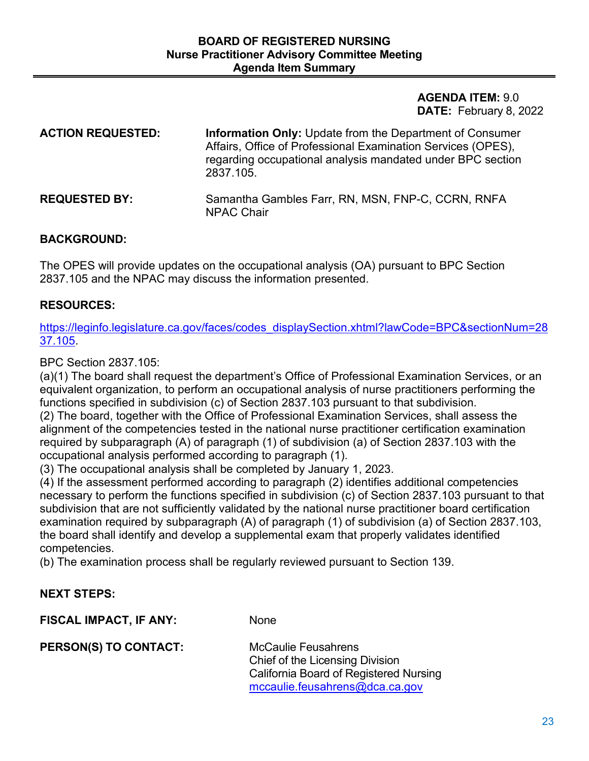**AGENDA ITEM:** 9.0 **DATE:** February 8, 2022

| <b>ACTION REQUESTED:</b> | <b>Information Only:</b> Update from the Department of Consumer<br>Affairs, Office of Professional Examination Services (OPES),<br>regarding occupational analysis mandated under BPC section<br>2837.105. |
|--------------------------|------------------------------------------------------------------------------------------------------------------------------------------------------------------------------------------------------------|
| <b>REQUESTED BY:</b>     | Samantha Gambles Farr, RN, MSN, FNP-C, CCRN, RNFA<br><b>NPAC Chair</b>                                                                                                                                     |

### **BACKGROUND:**

The OPES will provide updates on the occupational analysis (OA) pursuant to BPC Section 2837.105 and the NPAC may discuss the information presented.

### **RESOURCES:**

[https://leginfo.legislature.ca.gov/faces/codes\\_displaySection.xhtml?lawCode=BPC&sectionNum=28](https://leginfo.legislature.ca.gov/faces/codes_displaySection.xhtml?lawCode=BPC§ionNum=2837.105) [37.105.](https://leginfo.legislature.ca.gov/faces/codes_displaySection.xhtml?lawCode=BPC§ionNum=2837.105)

BPC Section 2837.105:

(a)(1) The board shall request the department's Office of Professional Examination Services, or an equivalent organization, to perform an occupational analysis of nurse practitioners performing the functions specified in subdivision (c) of Section 2837.103 pursuant to that subdivision.

(2) The board, together with the Office of Professional Examination Services, shall assess the alignment of the competencies tested in the national nurse practitioner certification examination required by subparagraph (A) of paragraph (1) of subdivision (a) of Section 2837.103 with the occupational analysis performed according to paragraph (1).

(3) The occupational analysis shall be completed by January 1, 2023.

(4) If the assessment performed according to paragraph (2) identifies additional competencies necessary to perform the functions specified in subdivision (c) of Section 2837.103 pursuant to that subdivision that are not sufficiently validated by the national nurse practitioner board certification examination required by subparagraph (A) of paragraph (1) of subdivision (a) of Section 2837.103, the board shall identify and develop a supplemental exam that properly validates identified competencies.

(b) The examination process shall be regularly reviewed pursuant to Section 139.

### **NEXT STEPS:**

**FISCAL IMPACT, IF ANY:** None

**PERSON(S) TO CONTACT:** McCaulie Feusahrens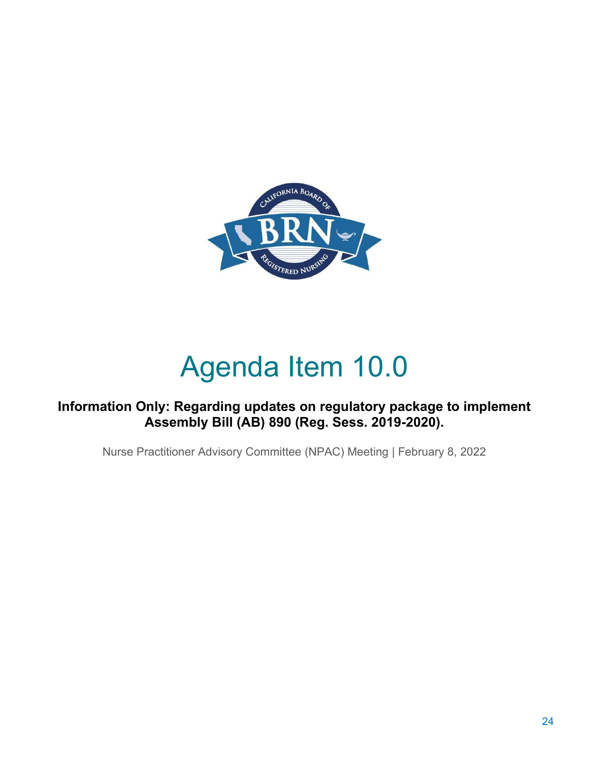

# Agenda Item 10.0

### **Information Only: Regarding updates on regulatory package to implement Assembly Bill (AB) 890 (Reg. Sess. 2019-2020).**